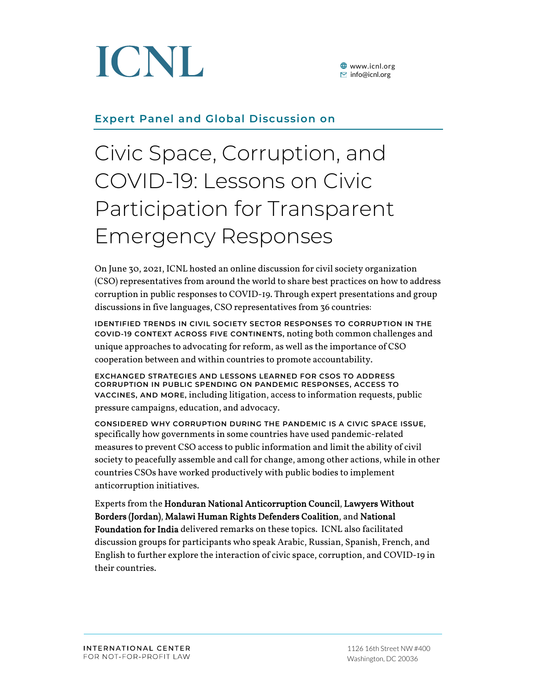

**<sup>●</sup>** www.icnl.org  $\Xi$  info@icnl.org

### **Expert Panel and Global Discussion on**

## Civic Space, Corruption, and COVID-19: Lessons on Civic Participation for Transparent Emergency Responses

On June 30, 2021, ICNL hosted an online discussion for civil society organization (CSO) representatives from around the world to share best practices on how to address corruption in public responses to COVID-19. Through expert presentations and group discussions in five languages, CSO representatives from 36 countries:

**IDENTIFIED TRENDS IN CIVIL SOCIETY SECTOR RESPONSES TO CORRUPTION IN THE COVID-19 CONTEXT ACROSS FIVE CONTINENTS,** noting both common challenges and unique approaches to advocating for reform, as well as the importance of CSO cooperation between and within countries to promote accountability.

**EXCHANGED STRATEGIES AND LESSONS LEARNED FOR CSOS TO ADDRESS CORRUPTION IN PUBLIC SPENDING ON PANDEMIC RESPONSES, ACCESS TO VACCINES, AND MORE,** including litigation, access to information requests, public pressure campaigns, education, and advocacy.

**CONSIDERED WHY CORRUPTION DURING THE PANDEMIC IS A CIVIC SPACE ISSUE,** specifically how governments in some countries have used pandemic-related measures to prevent CSO access to public information and limit the ability of civil society to peacefully assemble and call for change, among other actions, while in other countries CSOs have worked productively with public bodies to implement anticorruption initiatives.

Experts from the Honduran National Anticorruption Council, Lawyers Without Borders (Jordan), Malawi Human Rights Defenders Coalition, and National Foundation for India delivered remarks on these topics. ICNL also facilitated discussion groups for participants who speak Arabic, Russian, Spanish, French, and English to further explore the interaction of civic space, corruption, and COVID-19 in their countries.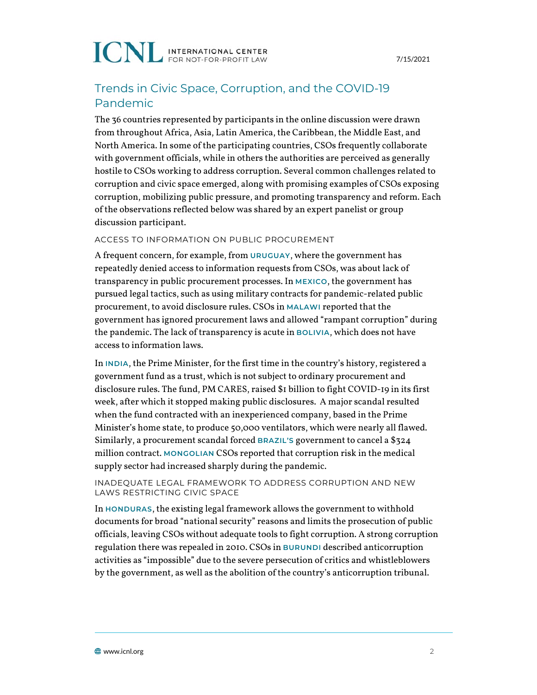### Trends in Civic Space, Corruption, and the COVID-19 Pandemic

The 36 countries represented by participants in the online discussion were drawn from throughout Africa, Asia, Latin America, the Caribbean, the Middle East, and North America. In some of the participating countries, CSOs frequently collaborate with government officials, while in others the authorities are perceived as generally hostile to CSOs working to address corruption. Several common challenges related to corruption and civic space emerged, along with promising examples of CSOs exposing corruption, mobilizing public pressure, and promoting transparency and reform. Each of the observations reflected below was shared by an expert panelist or group discussion participant.

#### ACCESS TO INFORMATION ON PUBLIC PROCUREMENT

A frequent concern, for example, from **URUGUAY**, where the government has repeatedly denied access to information requests from CSOs, was about lack of transparency in public procurement processes. In **MEXICO**, the government has pursued legal tactics, such as using military contracts for pandemic-related public procurement, to avoid disclosure rules. CSOs in **MALAWI** reported that the government has ignored procurement laws and allowed "rampant corruption" during the pandemic. The lack of transparency is acute in **BOLIVIA**, which does not have access to information laws.

In **INDIA**, the Prime Minister, for the first time in the country's history, registered a government fund as a trust, which is not subject to ordinary procurement and disclosure rules. The fund, PM CARES, raised \$1 billion to fight COVID-19 in its first week, after which it stopped making public disclosures. A major scandal resulted when the fund contracted with an inexperienced company, based in the Prime Minister's home state, to produce 50,000 ventilators, which were nearly all flawed. Similarly, a procurement scandal forced **BRAZIL'S** government to cancel a \$324 million contract. **MONGOLIAN** CSOs reported that corruption risk in the medical supply sector had increased sharply during the pandemic.

#### INADEQUATE LEGAL FRAMEWORK TO ADDRESS CORRUPTION AND NEW LAWS RESTRICTING CIVIC SPACE

In **HONDURAS**, the existing legal framework allows the government to withhold documents for broad "national security" reasons and limits the prosecution of public officials, leaving CSOs without adequate tools to fight corruption. A strong corruption regulation there was repealed in 2010. CSOs in **BURUNDI** described anticorruption activities as "impossible" due to the severe persecution of critics and whistleblowers by the government, as well as the abolition of the country's anticorruption tribunal.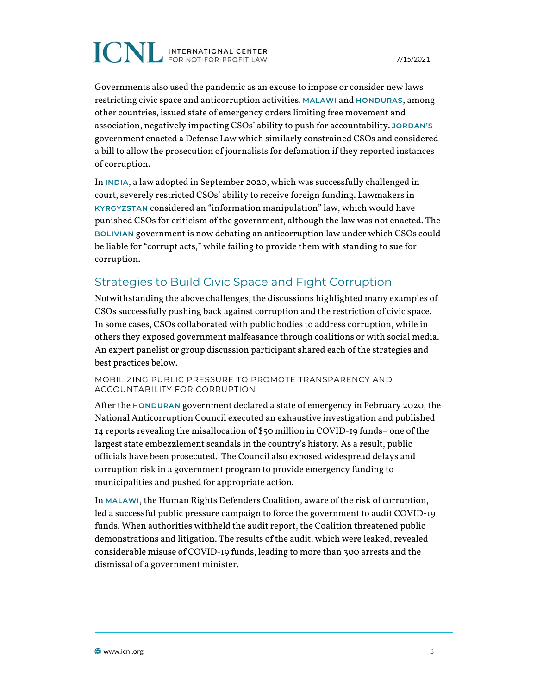Governments also used the pandemic as an excuse to impose or consider new laws restricting civic space and anticorruption activities. **MALAWI** and **HONDURAS**, among other countries, issued state of emergency orders limiting free movement and association, negatively impacting CSOs' ability to push for accountability. **JORDAN'S** government enacted a Defense Law which similarly constrained CSOs and considered a bill to allow the prosecution of journalists for defamation if they reported instances of corruption.

In **INDIA**, a law adopted in September 2020, which was successfully challenged in court, severely restricted CSOs' ability to receive foreign funding. Lawmakers in **KYRGYZSTAN** considered an "information manipulation" law, which would have punished CSOs for criticism of the government, although the law was not enacted. The **BOLIVIAN** government is now debating an anticorruption law under which CSOs could be liable for "corrupt acts," while failing to provide them with standing to sue for corruption.

### Strategies to Build Civic Space and Fight Corruption

Notwithstanding the above challenges, the discussions highlighted many examples of CSOs successfully pushing back against corruption and the restriction of civic space. In some cases, CSOs collaborated with public bodies to address corruption, while in others they exposed government malfeasance through coalitions or with social media. An expert panelist or group discussion participant shared each of the strategies and best practices below.

MOBILIZING PUBLIC PRESSURE TO PROMOTE TRANSPARENCY AND ACCOUNTABILITY FOR CORRUPTION

After the **HONDURAN** government declared a state of emergency in February 2020, the National Anticorruption Council executed an exhaustive investigation and published 14 reports revealing the misallocation of \$50 million in COVID-19 funds– one of the largest state embezzlement scandals in the country's history. As a result, public officials have been prosecuted. The Council also exposed widespread delays and corruption risk in a government program to provide emergency funding to municipalities and pushed for appropriate action.

In **MALAWI**, the Human Rights Defenders Coalition, aware of the risk of corruption, led a successful public pressure campaign to force the government to audit COVID-19 funds. When authorities withheld the audit report, the Coalition threatened public demonstrations and litigation. The results of the audit, which were leaked, revealed considerable misuse of COVID-19 funds, leading to more than 300 arrests and the dismissal of a government minister.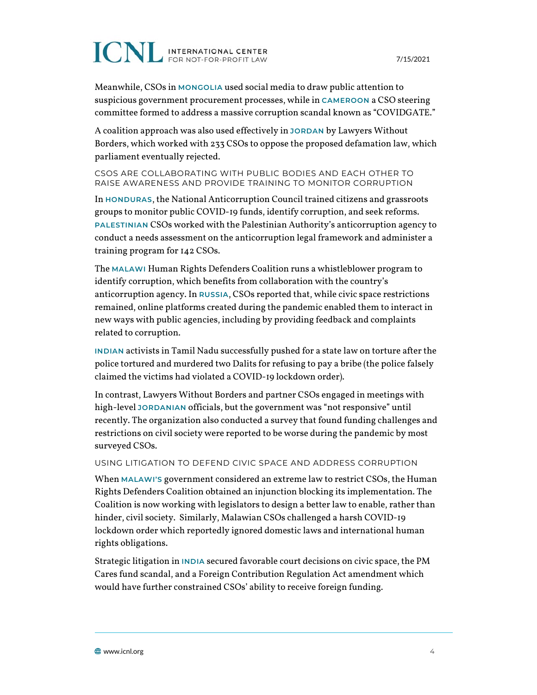7/15/2021

Meanwhile, CSOs in **MONGOLIA** used social media to draw public attention to suspicious government procurement processes, while in **CAMEROON** a CSO steering committee formed to address a massive corruption scandal known as "COVIDGATE."

A coalition approach was also used effectively in **JORDAN** by Lawyers Without Borders, which worked with 233 CSOs to oppose the proposed defamation law, which parliament eventually rejected.

#### CSOS ARE COLLABORATING WITH PUBLIC BODIES AND EACH OTHER TO RAISE AWARENESS AND PROVIDE TRAINING TO MONITOR CORRUPTION

In **HONDURAS**, the National Anticorruption Council trained citizens and grassroots groups to monitor public COVID-19 funds, identify corruption, and seek reforms. **PALESTINIAN** CSOs worked with the Palestinian Authority's anticorruption agency to conduct a needs assessment on the anticorruption legal framework and administer a training program for 142 CSOs.

The **MALAWI** Human Rights Defenders Coalition runs a whistleblower program to identify corruption, which benefits from collaboration with the country's anticorruption agency. In **RUSSIA**, CSOs reported that, while civic space restrictions remained, online platforms created during the pandemic enabled them to interact in new ways with public agencies, including by providing feedback and complaints related to corruption.

**INDIAN** activists in Tamil Nadu successfully pushed for a state law on torture after the police tortured and murdered two Dalits for refusing to pay a bribe (the police falsely claimed the victims had violated a COVID-19 lockdown order).

In contrast, Lawyers Without Borders and partner CSOs engaged in meetings with high-level **JORDANIAN** officials, but the government was "not responsive" until recently. The organization also conducted a survey that found funding challenges and restrictions on civil society were reported to be worse during the pandemic by most surveyed CSOs.

#### USING LITIGATION TO DEFEND CIVIC SPACE AND ADDRESS CORRUPTION

When **MALAWI'S** government considered an extreme law to restrict CSOs, the Human Rights Defenders Coalition obtained an injunction blocking its implementation. The Coalition is now working with legislators to design a better law to enable, rather than hinder, civil society. Similarly, Malawian CSOs challenged a harsh COVID-19 lockdown order which reportedly ignored domestic laws and international human rights obligations.

Strategic litigation in **INDIA** secured favorable court decisions on civic space, the PM Cares fund scandal, and a Foreign Contribution Regulation Act amendment which would have further constrained CSOs' ability to receive foreign funding.